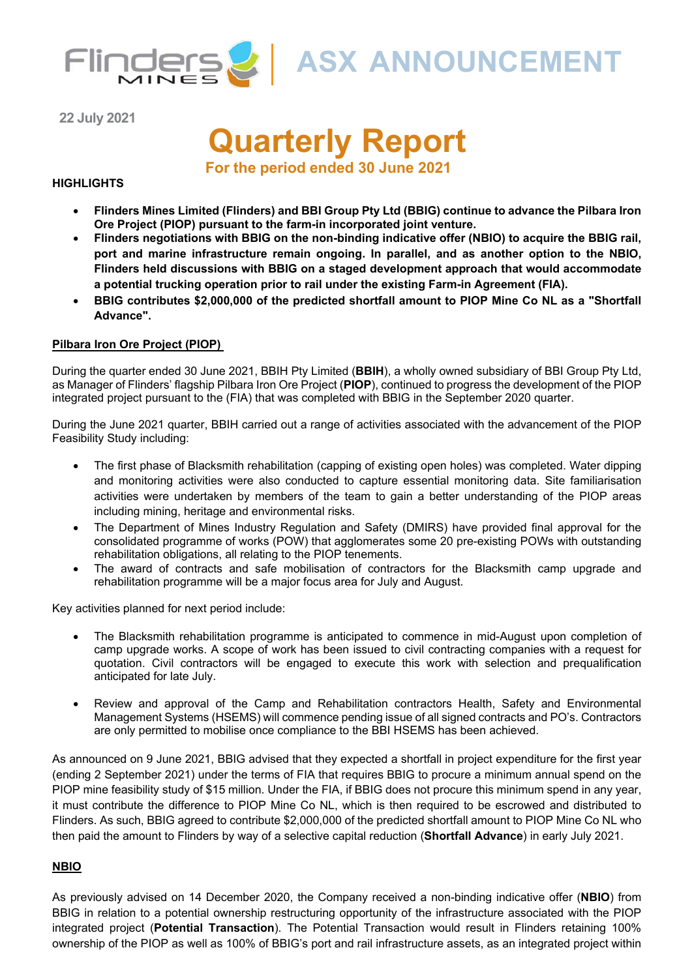

**22 July 2021**

# **Quarterly Report**

**For the period ended 30 June 2021**

# **HIGHLIGHTS**

- **Flinders Mines Limited (Flinders) and BBI Group Pty Ltd (BBIG) continue to advance the Pilbara Iron Ore Project (PIOP) pursuant to the farm-in incorporated joint venture.**
- **Flinders negotiations with BBIG on the non-binding indicative offer (NBIO) to acquire the BBIG rail, port and marine infrastructure remain ongoing. In parallel, and as another option to the NBIO, Flinders held discussions with BBIG on a staged development approach that would accommodate a potential trucking operation prior to rail under the existing Farm-in Agreement (FIA).**
- **BBIG contributes \$2,000,000 of the predicted shortfall amount to PIOP Mine Co NL as a "Shortfall Advance".**

# **Pilbara Iron Ore Project (PIOP)**

During the quarter ended 30 June 2021, BBIH Pty Limited (**BBIH**), a wholly owned subsidiary of BBI Group Pty Ltd, as Manager of Flinders' flagship Pilbara Iron Ore Project (**PIOP**), continued to progress the development of the PIOP integrated project pursuant to the (FIA) that was completed with BBIG in the September 2020 quarter.

During the June 2021 quarter, BBIH carried out a range of activities associated with the advancement of the PIOP Feasibility Study including:

- The first phase of Blacksmith rehabilitation (capping of existing open holes) was completed. Water dipping and monitoring activities were also conducted to capture essential monitoring data. Site familiarisation activities were undertaken by members of the team to gain a better understanding of the PIOP areas including mining, heritage and environmental risks.
- The Department of Mines Industry Regulation and Safety (DMIRS) have provided final approval for the consolidated programme of works (POW) that agglomerates some 20 pre-existing POWs with outstanding rehabilitation obligations, all relating to the PIOP tenements.
- The award of contracts and safe mobilisation of contractors for the Blacksmith camp upgrade and rehabilitation programme will be a major focus area for July and August.

Key activities planned for next period include:

- The Blacksmith rehabilitation programme is anticipated to commence in mid-August upon completion of camp upgrade works. A scope of work has been issued to civil contracting companies with a request for quotation. Civil contractors will be engaged to execute this work with selection and prequalification anticipated for late July.
- Review and approval of the Camp and Rehabilitation contractors Health, Safety and Environmental Management Systems (HSEMS) will commence pending issue of all signed contracts and PO's. Contractors are only permitted to mobilise once compliance to the BBI HSEMS has been achieved.

As announced on 9 June 2021, BBIG advised that they expected a shortfall in project expenditure for the first year (ending 2 September 2021) under the terms of FIA that requires BBIG to procure a minimum annual spend on the PIOP mine feasibility study of \$15 million. Under the FIA, if BBIG does not procure this minimum spend in any year, it must contribute the difference to PIOP Mine Co NL, which is then required to be escrowed and distributed to Flinders. As such, BBIG agreed to contribute \$2,000,000 of the predicted shortfall amount to PIOP Mine Co NL who then paid the amount to Flinders by way of a selective capital reduction (**Shortfall Advance**) in early July 2021.

# **NBIO**

As previously advised on 14 December 2020, the Company received a non-binding indicative offer (**NBIO**) from BBIG in relation to a potential ownership restructuring opportunity of the infrastructure associated with the PIOP integrated project (**Potential Transaction**). The Potential Transaction would result in Flinders retaining 100% ownership of the PIOP as well as 100% of BBIG's port and rail infrastructure assets, as an integrated project within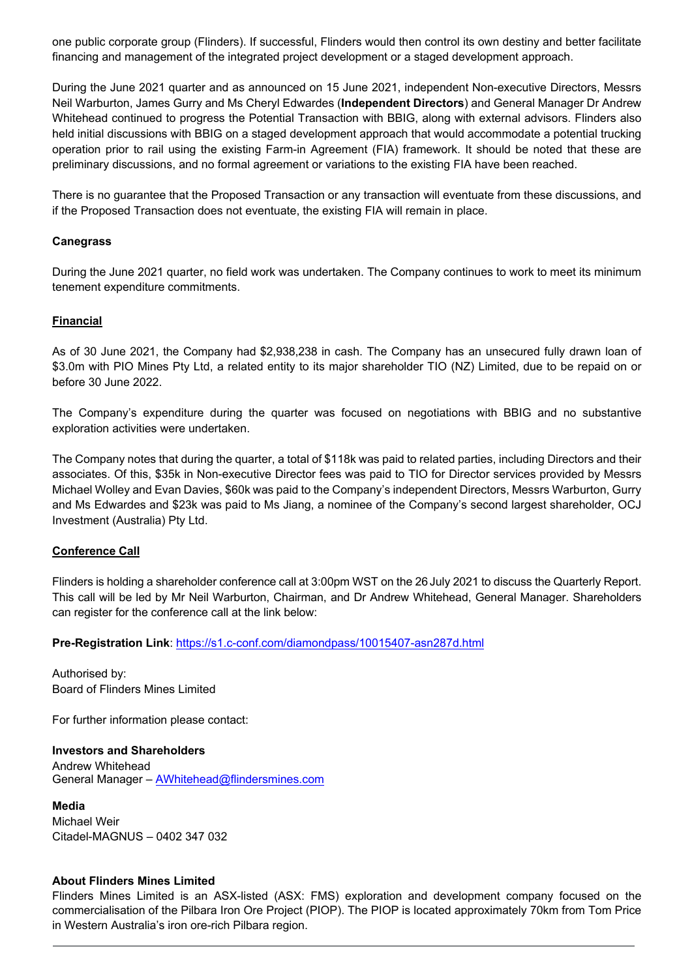one public corporate group (Flinders). If successful, Flinders would then control its own destiny and better facilitate financing and management of the integrated project development or a staged development approach.

During the June 2021 quarter and as announced on 15 June 2021, independent Non-executive Directors, Messrs Neil Warburton, James Gurry and Ms Cheryl Edwardes (**Independent Directors**) and General Manager Dr Andrew Whitehead continued to progress the Potential Transaction with BBIG, along with external advisors. Flinders also held initial discussions with BBIG on a staged development approach that would accommodate a potential trucking operation prior to rail using the existing Farm-in Agreement (FIA) framework. It should be noted that these are preliminary discussions, and no formal agreement or variations to the existing FIA have been reached.

There is no guarantee that the Proposed Transaction or any transaction will eventuate from these discussions, and if the Proposed Transaction does not eventuate, the existing FIA will remain in place.

# **Canegrass**

During the June 2021 quarter, no field work was undertaken. The Company continues to work to meet its minimum tenement expenditure commitments.

## **Financial**

As of 30 June 2021, the Company had \$2,938,238 in cash. The Company has an unsecured fully drawn loan of \$3.0m with PIO Mines Pty Ltd, a related entity to its major shareholder TIO (NZ) Limited, due to be repaid on or before 30 June 2022.

The Company's expenditure during the quarter was focused on negotiations with BBIG and no substantive exploration activities were undertaken.

The Company notes that during the quarter, a total of \$118k was paid to related parties, including Directors and their associates. Of this, \$35k in Non-executive Director fees was paid to TIO for Director services provided by Messrs Michael Wolley and Evan Davies, \$60k was paid to the Company's independent Directors, Messrs Warburton, Gurry and Ms Edwardes and \$23k was paid to Ms Jiang, a nominee of the Company's second largest shareholder, OCJ Investment (Australia) Pty Ltd.

# **Conference Call**

Flinders is holding a shareholder conference call at 3:00pm WST on the 26 July 2021 to discuss the Quarterly Report. This call will be led by Mr Neil Warburton, Chairman, and Dr Andrew Whitehead, General Manager. Shareholders can register for the conference call at the link below:

**Pre-Registration Link**: https://s1.c-conf.com/diamondpass/10015407-asn287d.html

Authorised by: Board of Flinders Mines Limited

For further information please contact:

**Investors and Shareholders**  Andrew Whitehead General Manager - AWhitehead@flindersmines.com

**Media**  Michael Weir Citadel-MAGNUS – 0402 347 032

### **About Flinders Mines Limited**

Flinders Mines Limited is an ASX-listed (ASX: FMS) exploration and development company focused on the commercialisation of the Pilbara Iron Ore Project (PIOP). The PIOP is located approximately 70km from Tom Price in Western Australia's iron ore-rich Pilbara region.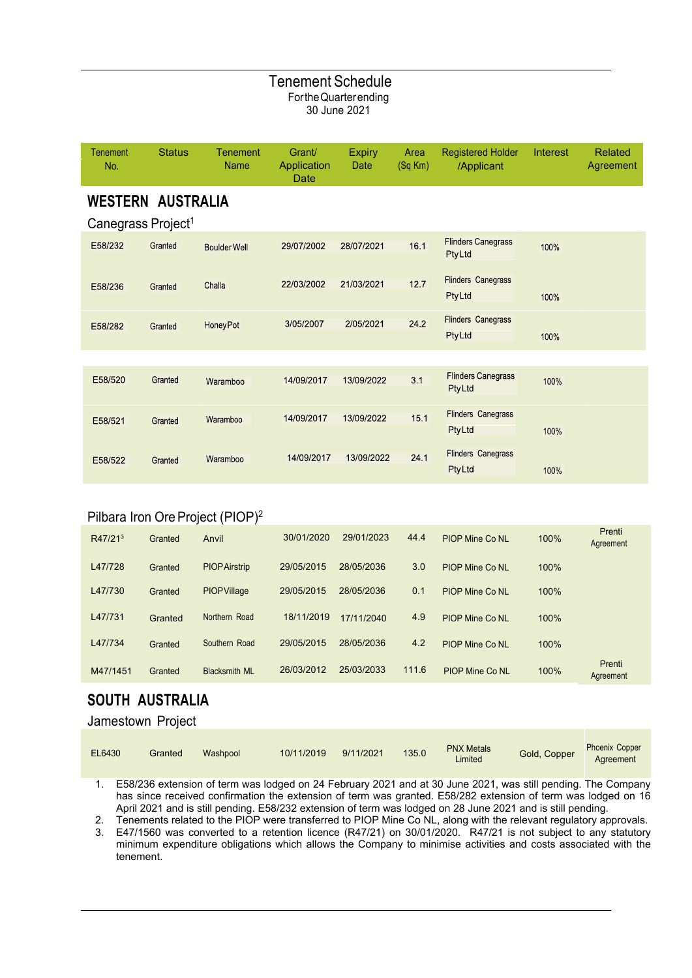# Tenement Schedule For the Quarter ending 30 June 2021

| Tenement<br>No.                                            | <b>Status</b> | <b>Tenement</b><br><b>Name</b> | Grant/<br>Application<br>Date | <b>Expiry</b><br>Date | Area<br>(Sq Km) | <b>Registered Holder</b><br>/Applicant     | Interest | <b>Related</b><br>Agreement |
|------------------------------------------------------------|---------------|--------------------------------|-------------------------------|-----------------------|-----------------|--------------------------------------------|----------|-----------------------------|
| <b>WESTERN AUSTRALIA</b><br>Canegrass Project <sup>1</sup> |               |                                |                               |                       |                 |                                            |          |                             |
| E58/232                                                    | Granted       | <b>Boulder Well</b>            | 29/07/2002                    | 28/07/2021            | 16.1            | <b>Flinders Canegrass</b><br><b>PtyLtd</b> | 100%     |                             |
| E58/236                                                    | Granted       | Challa                         | 22/03/2002                    | 21/03/2021            | 12.7            | <b>Flinders Canegrass</b><br><b>PtyLtd</b> | 100%     |                             |
| E58/282                                                    | Granted       | Honey Pot                      | 3/05/2007                     | 2/05/2021             | 24.2            | <b>Flinders Canegrass</b><br><b>PtyLtd</b> | 100%     |                             |
|                                                            |               |                                |                               |                       |                 |                                            |          |                             |
| E58/520                                                    | Granted       | Waramboo                       | 14/09/2017                    | 13/09/2022            | 3.1             | <b>Flinders Canegrass</b><br><b>PtyLtd</b> | 100%     |                             |
| E58/521                                                    | Granted       | Waramboo                       | 14/09/2017                    | 13/09/2022            | 15.1            | <b>Flinders Canegrass</b><br>PtyLtd        | 100%     |                             |
| E58/522                                                    | Granted       | Waramboo                       | 14/09/2017                    | 13/09/2022            | 24.1            | <b>Flinders Canegrass</b><br>PtyLtd        | 100%     |                             |

# Pilbara Iron Ore Project (PIOP)<sup>2</sup>

| R47/21 <sup>3</sup> | Granted | Anvil                | 30/01/2020 | 29/01/2023 | 44.4  | <b>PIOP Mine Co NL</b> | 100% | Prenti<br>Agreement |
|---------------------|---------|----------------------|------------|------------|-------|------------------------|------|---------------------|
| L47/728             | Granted | <b>PIOPAirstrip</b>  | 29/05/2015 | 28/05/2036 | 3.0   | PIOP Mine Co NI        | 100% |                     |
| L47/730             | Granted | <b>PIOPVillage</b>   | 29/05/2015 | 28/05/2036 | 0.1   | PIOP Mine Co NI        | 100% |                     |
| L47/731             | Granted | Northern Road        | 18/11/2019 | 17/11/2040 | 4.9   | PIOP Mine Co NI        | 100% |                     |
| L47/734             | Granted | Southern Road        | 29/05/2015 | 28/05/2036 | 4.2   | <b>PIOP Mine Co NL</b> | 100% |                     |
| M47/1451            | Granted | <b>Blacksmith ML</b> | 26/03/2012 | 25/03/2033 | 111.6 | <b>PIOP Mine Co NL</b> | 100% | Prenti<br>Agreement |

# **SOUTH AUSTRALIA**

# Jamestown Project

| EL6430 | Granted | Washpool | 10/11/2019 | 9/11/2021 | 135.0 | <b>PNX Metals</b><br>Limited | Gold, Copper | <b>Phoenix Copper</b><br>Agreement |
|--------|---------|----------|------------|-----------|-------|------------------------------|--------------|------------------------------------|
|--------|---------|----------|------------|-----------|-------|------------------------------|--------------|------------------------------------|

1. E58/236 extension of term was lodged on 24 February 2021 and at 30 June 2021, was still pending. The Company has since received confirmation the extension of term was granted. E58/282 extension of term was lodged on 16 April 2021 and is still pending. E58/232 extension of term was lodged on 28 June 2021 and is still pending.

2. Tenements related to the PIOP were transferred to PIOP Mine Co NL, along with the relevant regulatory approvals.

3. E47/1560 was converted to a retention licence (R47/21) on 30/01/2020. R47/21 is not subject to any statutory minimum expenditure obligations which allows the Company to minimise activities and costs associated with the tenement.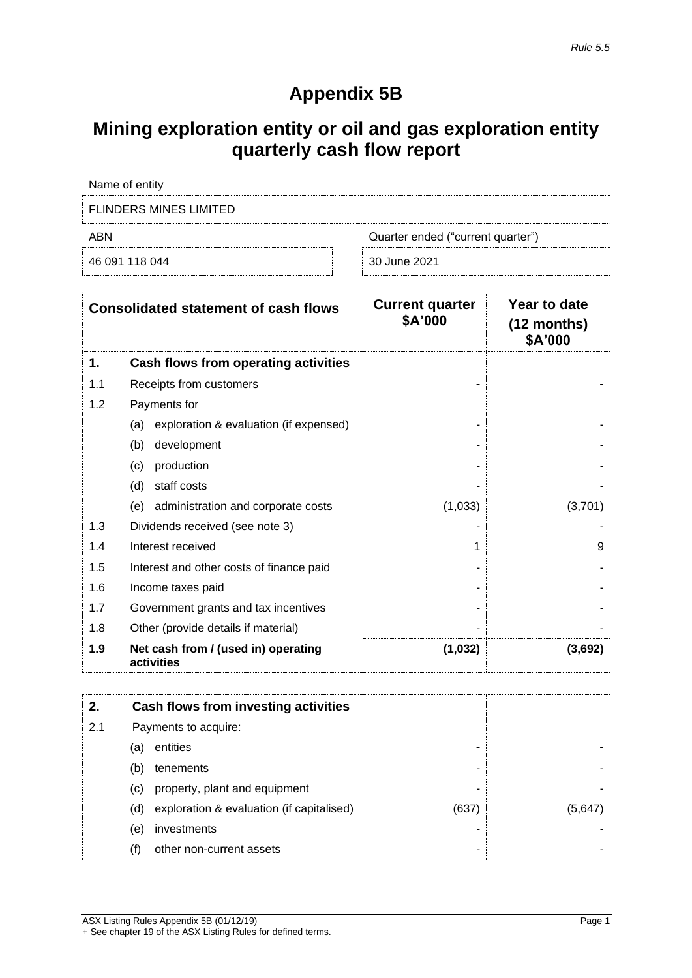# **Appendix 5B**

# **Mining exploration entity or oil and gas exploration entity quarterly cash flow report**

| Name of entity                |                                   |  |  |  |
|-------------------------------|-----------------------------------|--|--|--|
| <b>FLINDERS MINES LIMITED</b> |                                   |  |  |  |
| ABN                           | Quarter ended ("current quarter") |  |  |  |
| 46 091 118 044                | 30 June 2021                      |  |  |  |

| <b>Consolidated statement of cash flows</b> |                                                   | <b>Current quarter</b><br>\$A'000 | Year to date<br>$(12$ months)<br>\$A'000 |
|---------------------------------------------|---------------------------------------------------|-----------------------------------|------------------------------------------|
| 1.                                          | Cash flows from operating activities              |                                   |                                          |
| 1.1                                         | Receipts from customers                           |                                   |                                          |
| 1.2                                         | Payments for                                      |                                   |                                          |
|                                             | exploration & evaluation (if expensed)<br>(a)     |                                   |                                          |
|                                             | development<br>(b)                                |                                   |                                          |
|                                             | production<br>(c)                                 |                                   |                                          |
|                                             | (d)<br>staff costs                                |                                   |                                          |
|                                             | administration and corporate costs<br>(e)         | (1,033)                           | (3,701)                                  |
| 1.3                                         | Dividends received (see note 3)                   |                                   |                                          |
| 1.4                                         | Interest received                                 | 1                                 | 9                                        |
| 1.5                                         | Interest and other costs of finance paid          |                                   |                                          |
| 1.6                                         | Income taxes paid                                 |                                   |                                          |
| 1.7                                         | Government grants and tax incentives              |                                   |                                          |
| 1.8                                         | Other (provide details if material)               |                                   |                                          |
| 1.9                                         | Net cash from / (used in) operating<br>activities | (1,032)                           | (3,692)                                  |

| 2.  |     | Cash flows from investing activities      |       |        |
|-----|-----|-------------------------------------------|-------|--------|
| 2.1 |     | Payments to acquire:                      |       |        |
|     | (a) | entities                                  |       |        |
|     | (b) | tenements                                 | -     |        |
|     | (C) | property, plant and equipment             |       |        |
|     | (d) | exploration & evaluation (if capitalised) | (637) | (5.647 |
|     | (e) | investments                               | -     |        |
|     | (f) | other non-current assets                  | ۰     |        |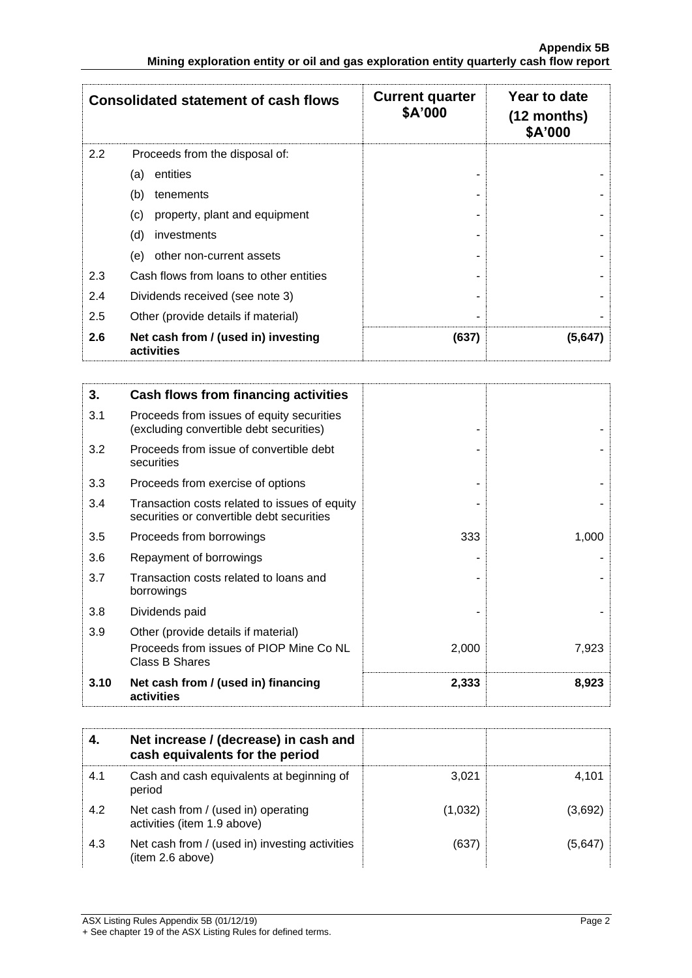|     | <b>Consolidated statement of cash flows</b>       | <b>Current quarter</b><br>\$A'000 | Year to date<br>$(12$ months)<br>\$A'000 |
|-----|---------------------------------------------------|-----------------------------------|------------------------------------------|
| 2.2 | Proceeds from the disposal of:                    |                                   |                                          |
|     | entities<br>(a)                                   |                                   |                                          |
|     | (b)<br>tenements                                  |                                   |                                          |
|     | property, plant and equipment<br>(c)              |                                   |                                          |
|     | (d)<br>investments                                |                                   |                                          |
|     | other non-current assets<br>(e)                   |                                   |                                          |
| 2.3 | Cash flows from loans to other entities           |                                   |                                          |
| 2.4 | Dividends received (see note 3)                   |                                   |                                          |
| 2.5 | Other (provide details if material)               |                                   |                                          |
| 2.6 | Net cash from / (used in) investing<br>activities | (637)                             | (5,647)                                  |

| 3.   | Cash flows from financing activities                                                       |       |       |
|------|--------------------------------------------------------------------------------------------|-------|-------|
| 3.1  | Proceeds from issues of equity securities<br>(excluding convertible debt securities)       |       |       |
| 3.2  | Proceeds from issue of convertible debt<br>securities                                      |       |       |
| 3.3  | Proceeds from exercise of options                                                          |       |       |
| 3.4  | Transaction costs related to issues of equity<br>securities or convertible debt securities |       |       |
| 3.5  | Proceeds from borrowings                                                                   | 333   | 1,000 |
| 3.6  | Repayment of borrowings                                                                    |       |       |
| 3.7  | Transaction costs related to loans and<br>borrowings                                       |       |       |
| 3.8  | Dividends paid                                                                             |       |       |
| 3.9  | Other (provide details if material)                                                        |       |       |
|      | Proceeds from issues of PIOP Mine Co NL<br><b>Class B Shares</b>                           | 2,000 | 7,923 |
| 3.10 | Net cash from / (used in) financing<br>activities                                          | 2,333 | 8,923 |

|     | Net increase / (decrease) in cash and<br>cash equivalents for the period |         |         |
|-----|--------------------------------------------------------------------------|---------|---------|
| 4.1 | Cash and cash equivalents at beginning of<br>period                      | 3.021   | 4.101   |
| 4.2 | Net cash from / (used in) operating<br>activities (item 1.9 above)       | (1,032) | (3,692) |
| 4.3 | Net cash from / (used in) investing activities<br>(item 2.6 above)       | (637)   | (5,647) |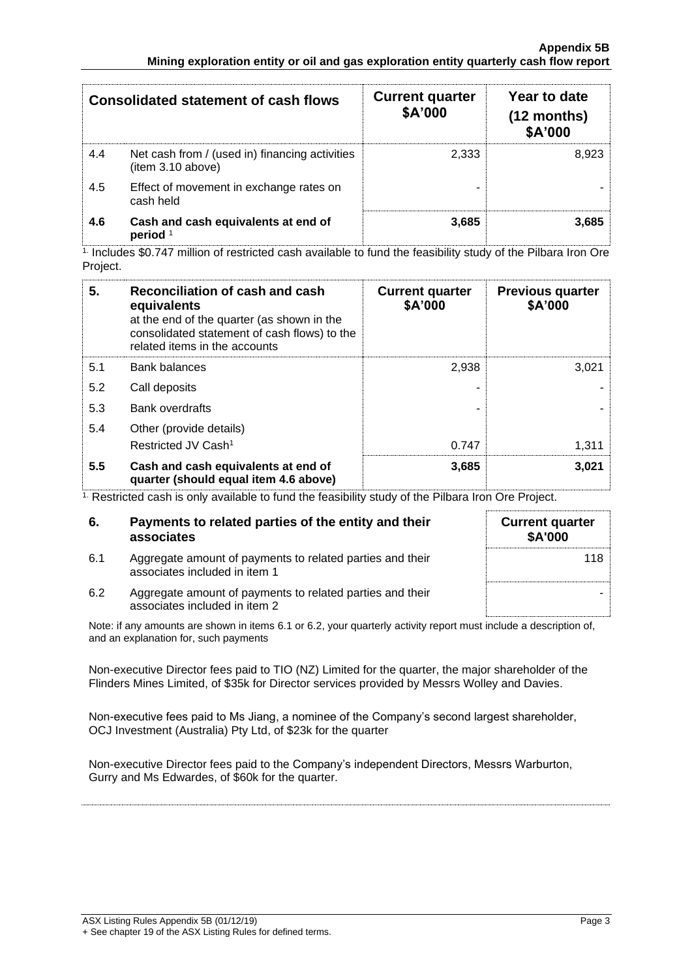|     | <b>Consolidated statement of cash flows</b>                        | <b>Current quarter</b><br>\$A'000 | Year to date<br>$(12$ months)<br>\$A'000 |
|-----|--------------------------------------------------------------------|-----------------------------------|------------------------------------------|
| 4.4 | Net cash from / (used in) financing activities<br>item 3.10 above) | 2.333                             | 8.923                                    |
| 4.5 | Effect of movement in exchange rates on<br>cash held               |                                   |                                          |
| 4.6 | Cash and cash equivalents at end of<br>period <sup>1</sup>         | 3.685                             | 3.685                                    |

 $1$  Includes \$0.747 million of restricted cash available to fund the feasibility study of the Pilbara Iron Ore Project.

| 5.  | Reconciliation of cash and cash<br>equivalents<br>at the end of the quarter (as shown in the<br>consolidated statement of cash flows) to the<br>related items in the accounts | <b>Current quarter</b><br>\$A'000 | <b>Previous quarter</b><br>\$A'000 |
|-----|-------------------------------------------------------------------------------------------------------------------------------------------------------------------------------|-----------------------------------|------------------------------------|
| 5.1 | Bank balances                                                                                                                                                                 | 2,938                             | 3,021                              |
| 5.2 | Call deposits                                                                                                                                                                 |                                   |                                    |
| 5.3 | <b>Bank overdrafts</b>                                                                                                                                                        |                                   |                                    |
| 5.4 | Other (provide details)                                                                                                                                                       |                                   |                                    |
|     | Restricted JV Cash <sup>1</sup>                                                                                                                                               | 0.747                             | 1,311                              |
| 5.5 | Cash and cash equivalents at end of<br>quarter (should equal item 4.6 above)                                                                                                  | 3,685                             | 3,021                              |

<sup>1.</sup> Restricted cash is only available to fund the feasibility study of the Pilbara Iron Ore Project.

| 6.  | Payments to related parties of the entity and their<br>associates                          | <b>Current quarter</b><br><b>\$A'000</b> |
|-----|--------------------------------------------------------------------------------------------|------------------------------------------|
| 6.1 | Aggregate amount of payments to related parties and their<br>associates included in item 1 | 118                                      |
| 6.2 | Aggregate amount of payments to related parties and their<br>associates included in item 2 |                                          |

Note: if any amounts are shown in items 6.1 or 6.2, your quarterly activity report must include a description of, and an explanation for, such payments

Non-executive Director fees paid to TIO (NZ) Limited for the quarter, the major shareholder of the Flinders Mines Limited, of \$35k for Director services provided by Messrs Wolley and Davies.

Non-executive fees paid to Ms Jiang, a nominee of the Company's second largest shareholder, OCJ Investment (Australia) Pty Ltd, of \$23k for the quarter

Non-executive Director fees paid to the Company's independent Directors, Messrs Warburton, Gurry and Ms Edwardes, of \$60k for the quarter.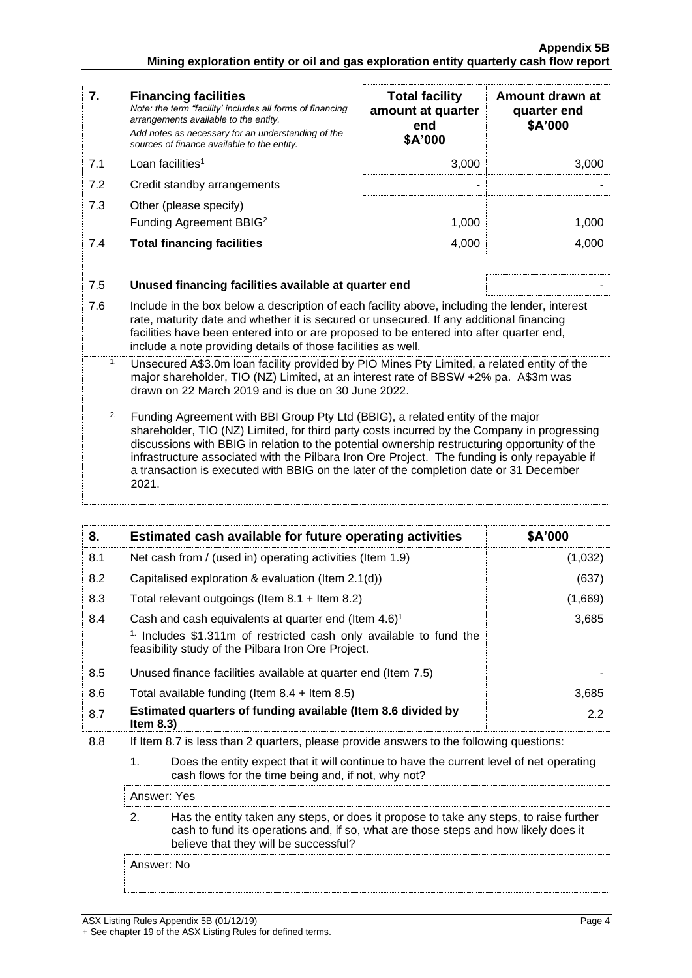| 7.  | <b>Financing facilities</b><br>Note: the term "facility' includes all forms of financing<br>arrangements available to the entity.                                                                                                                                                                                                                    | <b>Total facility</b><br>amount at quarter<br>end<br>\$A'000 | Amount drawn at<br>quarter end<br>\$A'000 |  |
|-----|------------------------------------------------------------------------------------------------------------------------------------------------------------------------------------------------------------------------------------------------------------------------------------------------------------------------------------------------------|--------------------------------------------------------------|-------------------------------------------|--|
|     | Add notes as necessary for an understanding of the<br>sources of finance available to the entity.                                                                                                                                                                                                                                                    |                                                              |                                           |  |
| 7.1 | Loan facilities <sup>1</sup>                                                                                                                                                                                                                                                                                                                         | 3,000                                                        | 3,000                                     |  |
| 7.2 | Credit standby arrangements                                                                                                                                                                                                                                                                                                                          |                                                              |                                           |  |
| 7.3 | Other (please specify)<br>Funding Agreement BBIG <sup>2</sup>                                                                                                                                                                                                                                                                                        | 1,000                                                        | 1,000                                     |  |
| 7.4 | <b>Total financing facilities</b>                                                                                                                                                                                                                                                                                                                    | 4,000                                                        | 4,000                                     |  |
|     |                                                                                                                                                                                                                                                                                                                                                      |                                                              |                                           |  |
| 7.5 | Unused financing facilities available at quarter end                                                                                                                                                                                                                                                                                                 |                                                              |                                           |  |
| 7.6 | Include in the box below a description of each facility above, including the lender, interest<br>rate, maturity date and whether it is secured or unsecured. If any additional financing<br>facilities have been entered into or are proposed to be entered into after quarter end,<br>include a note providing details of those facilities as well. |                                                              |                                           |  |
| 1.  | Unsecured A\$3.0m loan facility provided by PIO Mines Pty Limited, a related entity of the<br>major shareholder, TIO (NZ) Limited, at an interest rate of BBSW +2% pa. A\$3m was<br>drawn on 22 March 2019 and is due on 30 June 2022.                                                                                                               |                                                              |                                           |  |
| 2.  | Funding Agreement with BBI Group Pty Ltd (BBIG), a related entity of the major                                                                                                                                                                                                                                                                       |                                                              |                                           |  |

shareholder, TIO (NZ) Limited, for third party costs incurred by the Company in progressing discussions with BBIG in relation to the potential ownership restructuring opportunity of the infrastructure associated with the Pilbara Iron Ore Project. The funding is only repayable if a transaction is executed with BBIG on the later of the completion date or 31 December 2021.

| 8.  | Estimated cash available for future operating activities                                                                                             | \$A'000 |  |
|-----|------------------------------------------------------------------------------------------------------------------------------------------------------|---------|--|
| 8.1 | Net cash from / (used in) operating activities (Item 1.9)                                                                                            | (1,032) |  |
| 8.2 | Capitalised exploration & evaluation (Item 2.1(d))                                                                                                   | (637)   |  |
| 8.3 | Total relevant outgoings (Item $8.1 +$ Item $8.2$ )                                                                                                  | (1,669) |  |
| 8.4 | Cash and cash equivalents at quarter end (Item 4.6) <sup>1</sup>                                                                                     | 3,685   |  |
|     | <sup>1.</sup> Includes \$1.311m of restricted cash only available to fund the<br>feasibility study of the Pilbara Iron Ore Project.                  |         |  |
| 8.5 | Unused finance facilities available at quarter end (Item 7.5)                                                                                        |         |  |
| 8.6 | Total available funding (Item $8.4$ + Item $8.5$ )                                                                                                   | 3,685   |  |
| 8.7 | Estimated quarters of funding available (Item 8.6 divided by<br>Item $8.3$ )                                                                         | 2.2     |  |
| 8.8 | If Item 8.7 is less than 2 quarters, please provide answers to the following questions:                                                              |         |  |
|     | 1.<br>Does the entity expect that it will continue to have the current level of net operating<br>cash flows for the time being and, if not, why not? |         |  |

2. Has the entity taken any steps, or does it propose to take any steps, to raise further cash to fund its operations and, if so, what are those steps and how likely does it believe that they will be successful?

Answer: No

Answer: Yes